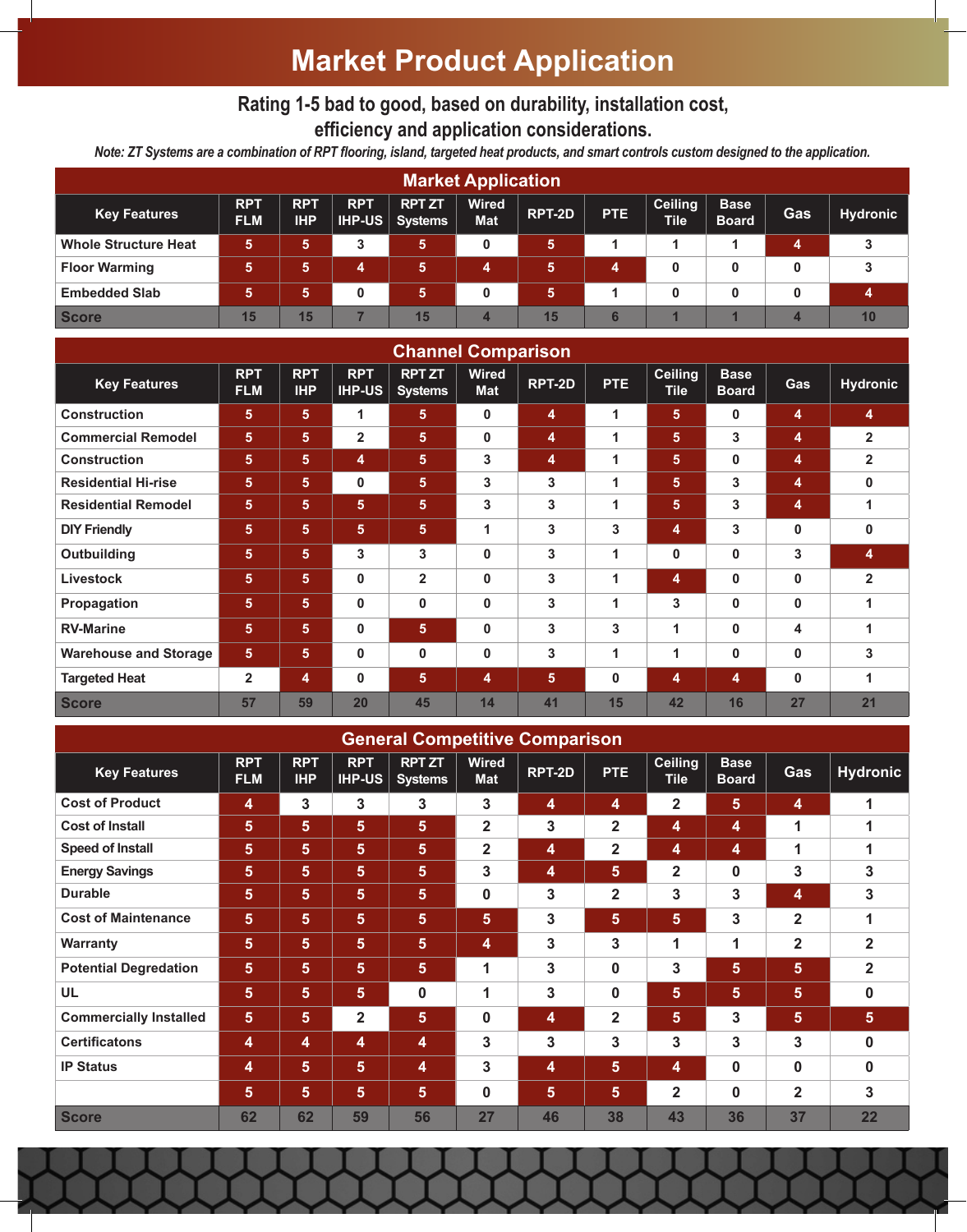# **Market Product Application**

### **Rating 1-5 bad to good, based on durability, installation cost, efficiency and application considerations.**

*Note: ZT Systems are a combination of RPT flooring, island, targeted heat products, and smart controls custom designed to the application.*

| <b>Market Application</b>   |                          |                          |            |                                       |                            |        |            |                               |                             |     |                 |
|-----------------------------|--------------------------|--------------------------|------------|---------------------------------------|----------------------------|--------|------------|-------------------------------|-----------------------------|-----|-----------------|
| <b>Key Features</b>         | <b>RPT</b><br><b>FLM</b> | <b>RPT</b><br><b>IHP</b> | <b>RPT</b> | <b>RPT ZT</b><br><b>HP-US Systems</b> | <b>Wired</b><br><b>Mat</b> | RPT-2D | <b>PTE</b> | <b>Ceiling</b><br><b>Tile</b> | <b>Base</b><br><b>Board</b> | Gas | <b>Hydronic</b> |
| <b>Whole Structure Heat</b> | 5.                       | 5.                       | 3          | 5.                                    | 0                          | 5.     |            |                               |                             | 4   |                 |
| <b>Floor Warming</b>        | 5                        | 5.                       | 4          | 5                                     | 4                          | 5.     | 4          | 0                             | 0                           | 0   |                 |
| <b>Embedded Slab</b>        | 5.                       | Б.                       | 0          | 5                                     | 0                          | 5      |            | 0                             | 0                           | 0   |                 |
| <b>Score</b>                | 15                       | 15                       |            | 15                                    | 4                          | 15     |            |                               |                             |     | 10              |

| <b>Channel Comparison</b>    |                          |                          |                             |                                 |                            |        |              |                               |                             |              |                         |
|------------------------------|--------------------------|--------------------------|-----------------------------|---------------------------------|----------------------------|--------|--------------|-------------------------------|-----------------------------|--------------|-------------------------|
| <b>Key Features</b>          | <b>RPT</b><br><b>FLM</b> | <b>RPT</b><br><b>IHP</b> | <b>RPT</b><br><b>IHP-US</b> | <b>RPT ZT</b><br><b>Systems</b> | <b>Wired</b><br><b>Mat</b> | RPT-2D | <b>PTE</b>   | <b>Ceiling</b><br><b>Tile</b> | <b>Base</b><br><b>Board</b> | Gas          | <b>Hydronic</b>         |
| <b>Construction</b>          | 5 <sup>5</sup>           | 5 <sup>5</sup>           | 1                           | 5 <sub>5</sub>                  | $\bf{0}$                   | 4      | 1            | 5                             | $\bf{0}$                    | 4            | 4                       |
| <b>Commercial Remodel</b>    | 5                        | 5.                       | $\mathbf{2}$                | 5 <sup>5</sup>                  | $\bf{0}$                   | 4      | $\mathbf{1}$ | 5                             | $\mathbf{3}$                | 4            | $\overline{2}$          |
| <b>Construction</b>          | 5                        | 5 <sup>5</sup>           | 4                           | 5 <sub>5</sub>                  | 3                          | 4      | $\mathbf{1}$ | $5\phantom{1}$                | $\mathbf{0}$                | 4            | $\overline{\mathbf{2}}$ |
| <b>Residential Hi-rise</b>   | 5                        | 5                        | $\mathbf 0$                 | 5                               | 3                          | 3      | 1            | 5                             | 3                           | 4            | 0                       |
| <b>Residential Remodel</b>   | 5                        | 5                        | 5 <sup>5</sup>              | $5\phantom{1}$                  | 3                          | 3      | $\mathbf{1}$ | 5                             | 3                           | 4            | 1                       |
| <b>DIY Friendly</b>          | 5                        | 5                        | 5 <sup>5</sup>              | 5                               | 1                          | 3      | 3            | 4                             | 3                           | $\mathbf{0}$ | 0                       |
| Outbuilding                  | 5                        | 5                        | 3                           | 3                               | $\bf{0}$                   | 3      | $\mathbf{1}$ | $\mathbf 0$                   | $\mathbf 0$                 | 3            | 4                       |
| <b>Livestock</b>             | 5                        | 5                        | $\mathbf{0}$                | $\overline{2}$                  | $\bf{0}$                   | 3      | 1            | 4                             | $\mathbf 0$                 | $\mathbf 0$  | $\overline{\mathbf{2}}$ |
| Propagation                  | 5                        | 5                        | $\mathbf{0}$                | $\bf{0}$                        | $\bf{0}$                   | 3      | 1            | 3                             | $\mathbf 0$                 | $\mathbf 0$  | 1                       |
| <b>RV-Marine</b>             | 5                        | 5                        | 0                           | 5                               | $\bf{0}$                   | 3      | 3            | 1                             | $\mathbf 0$                 | 4            | 1                       |
| <b>Warehouse and Storage</b> | 5 <sup>5</sup>           | 5                        | $\mathbf{0}$                | $\mathbf 0$                     | 0                          | 3      | $\mathbf{1}$ | 1                             | $\mathbf 0$                 | $\mathbf 0$  | 3                       |
| <b>Targeted Heat</b>         | $\overline{2}$           | 4                        | 0                           | 5                               | 4                          | 5      | $\bf{0}$     | 4                             | 4                           | $\mathbf 0$  | 1                       |
| <b>Score</b>                 | 57                       | 59                       | 20                          | 45                              | 14                         | 41     | 15           | 42                            | 16                          | 27           | 21                      |

| <b>General Competitive Comparison</b> |                          |                          |                             |                                 |                            |        |                |                               |                             |                |                 |
|---------------------------------------|--------------------------|--------------------------|-----------------------------|---------------------------------|----------------------------|--------|----------------|-------------------------------|-----------------------------|----------------|-----------------|
| <b>Key Features</b>                   | <b>RPT</b><br><b>FLM</b> | <b>RPT</b><br><b>IHP</b> | <b>RPT</b><br><b>IHP-US</b> | <b>RPT ZT</b><br><b>Systems</b> | <b>Wired</b><br><b>Mat</b> | RPT-2D | <b>PTE</b>     | <b>Ceiling</b><br><b>Tile</b> | <b>Base</b><br><b>Board</b> | Gas            | <b>Hydronic</b> |
| <b>Cost of Product</b>                | 4                        | 3                        | $\mathbf{3}$                | 3                               | 3                          | 4      | 4              | 2                             | 5                           | 4              | 1               |
| <b>Cost of Install</b>                | 5                        | $5\phantom{.0}$          | 5                           | 5                               | $\mathbf{2}$               | 3      | $\mathbf 2$    | 4                             | 4                           | 1              | 1               |
| <b>Speed of Install</b>               | 5                        | 5                        | $5\phantom{1}$              | 5                               | $\mathbf{2}$               | 4      | 2              | 4                             | 4                           | 1              |                 |
| <b>Energy Savings</b>                 | 5                        | 5                        | 5 <sub>5</sub>              | 5                               | 3                          | 4      | 5              | $\mathbf 2$                   | $\bf{0}$                    | 3              | 3               |
| <b>Durable</b>                        | 5                        | 5                        | $5\phantom{1}$              | 5                               | $\bf{0}$                   | 3      | $\overline{2}$ | 3                             | 3                           | 4              | 3               |
| <b>Cost of Maintenance</b>            | $5\phantom{.0}$          | $5\phantom{.0}$          | 5                           | 5                               | 5                          | 3      | 5              | $5\phantom{.}$                | 3                           | 2              | 1               |
| <b>Warranty</b>                       | $5\phantom{.}$           | $5\phantom{.0}$          | $5\phantom{1}$              | $5\phantom{.0}$                 | $\overline{\mathbf{4}}$    | 3      | 3              | 1                             | 1                           | $\mathbf{2}$   | $\overline{2}$  |
| <b>Potential Degredation</b>          | 5                        | 5                        | 5 <sub>5</sub>              | 5                               | 1                          | 3      | 0              | 3                             | 5                           | 5              | $\overline{2}$  |
| <b>UL</b>                             | 5                        | $5\phantom{.}$           | $5\phantom{1}$              | 0                               | 1                          | 3      | 0              | 5                             | $5\phantom{1}$              | 5 <sup>5</sup> | 0               |
| <b>Commercially Installed</b>         | 5 <sup>5</sup>           | 5                        | $\mathbf{2}$                | 5                               | $\mathbf 0$                | 4      | $\overline{2}$ | 5                             | 3                           | 5              | 5               |
| <b>Certificatons</b>                  | 4                        | 4                        | 4                           | 4                               | 3                          | 3      | 3              | 3                             | 3                           | 3              | $\bf{0}$        |
| <b>IP Status</b>                      | 4                        | $5\phantom{.0}$          | $5\phantom{1}$              | 4                               | 3                          | 4      | $5\phantom{1}$ | 4                             | 0                           | $\bf{0}$       | 0               |
|                                       | 5                        | 5                        | $5\phantom{1}$              | 5                               | $\mathbf{0}$               | 5      | 5              | $\mathbf 2$                   | 0                           | $\mathbf{2}$   | 3               |
| <b>Score</b>                          | 62                       | 62                       | 59                          | 56                              | 27                         | 46     | 38             | 43                            | 36                          | 37             | 22              |